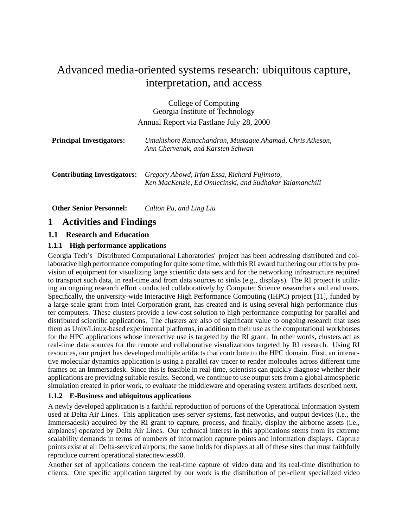# Advanced media-oriented systems research: ubiquitous capture, interpretation, and access

College of Computing Georgia Institute of Technology Annual Report via Fastlane July 28, 2000

| <b>Principal Investigators:</b>    | Umakishore Ramachandran, Mustaque Ahamad, Chris Atkeson,<br>Ann Chervenak, and Karsten Schwan           |
|------------------------------------|---------------------------------------------------------------------------------------------------------|
| <b>Contributing Investigators:</b> | Gregory Abowd, Irfan Essa, Richard Fujimoto,<br>Ken MacKenzie, Ed Omiecinski, and Sudhakar Yalamanchili |

**Other Senior Personnel:** *Calton Pu, and Ling Liu*

# **1 Activities and Findings**

#### **1.1 Research and Education**

#### **1.1.1 High performance applications**

Georgia Tech's `Distributed Computational Laboratories' project has been addressing distributed and collaborative high performance computing for quite some time, with this RI award furthering our efforts by provision of equipment for visualizing large scientific data sets and for the networking infrastructure required to transport such data, in real-time and from data sources to sinks (e.g., displays). The RI project is utilizing an ongoing research effort conducted collaboratively by Computer Science researchers and end users. Specifically, the university-wide Interactive High Performance Computing (IHPC) project [11], funded by a large-scale grant from Intel Corporation grant, has created and is using several high performance cluster computers. These clusters provide a low-cost solution to high performance computing for parallel and distributed scientific applications. The clusters are also of significant value to ongoing research that uses them as Unix/Linux-based experimental platforms, in addition to their use as the computational workhorses for the HPC applications whose interactive use is targeted by the RI grant. In other words, clusters act as real-time data sources for the remote and collaborative visualizations targeted by RI research. Using RI resources, our project has developed multiple artifacts that contribute to the HPC domain. First, an interactive molecular dynamics application is using a parallel ray tracer to render molecules across different time frames on an Immersadesk. Since this is feasible in real-time, scientists can quickly diagnose whether their applications are providing suitable results. Second, we continue to use output sets from a global atmospheric simulation created in prior work, to evaluate the middleware and operating system artifacts described next.

#### **1.1.2 E-Business and ubiquitous applications**

A newly developed application is a faithful reproduction of portions of the Operational Information System used at Delta Air Lines. This application uses server systems, fast networks, and output devices (i.e., the Immersadesk) acquired by the RI grant to capture, process, and finally, display the airborne assets (i.e., airplanes) operated by Delta Air Lines. Our technical interest in this applications stems from its extreme scalability demands in terms of numbers of information capture points and information displays. Capture points exist at all Delta-serviced airports; the same holds for displays at all of these sites that must faithfully reproduce current operational statecitewiess00.

Another set of applications concern the real-time capture of video data and its real-time distribution to clients. One specific application targeted by our work is the distribution of per-client specialized video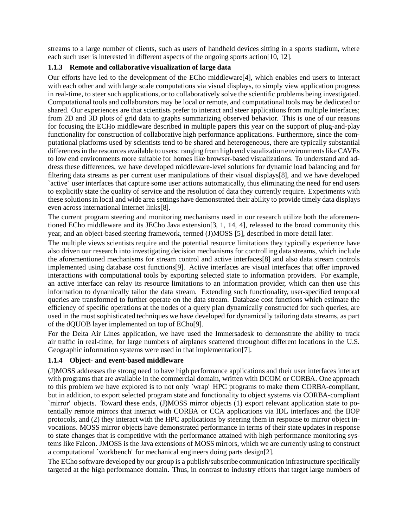streams to a large number of clients, such as users of handheld devices sitting in a sports stadium, where each such user is interested in different aspects of the ongoing sports action [10, 12].

#### **1.1.3 Remote and collaborative visualization of large data**

Our efforts have led to the development of the ECho middleware[4], which enables end users to interact with each other and with large scale computations via visual displays, to simply view application progress in real-time, to steer such applications, or to collaboratively solve the scientific problems being investigated. Computational tools and collaborators may be local or remote, and computational tools may be dedicated or shared. Our experiences are that scientists prefer to interact and steer applications from multiple interfaces; from 2D and 3D plots of grid data to graphs summarizing observed behavior. This is one of our reasons for focusing the ECHo middleware described in multiple papers this year on the support of plug-and-play functionality for construction of collaborative high performance applications. Furthermore, since the computational platforms used by scientists tend to be shared and heterogeneous, there are typically substantial differences in the resources available to users: ranging from high end visualization environments like CAVEs to low end environments more suitable for homes like browser-based visualizations. To understand and address these differences, we have developed middleware-level solutions for dynamic load balancing and for filtering data streams as per current user manipulations of their visual displays[8], and we have developed `active' user interfaces that capture some user actions automatically, thus eliminating the need for end users to explicitly state the quality of service and the resolution of data they currently require. Experiments with these solutions in local and wide area settings have demonstrated their ability to provide timely data displays even across international Internet links[8].

The current program steering and monitoring mechanisms used in our research utilize both the aforementioned ECho middleware and its JECho Java extension[3, 1, 14, 4], released to the broad community this year, and an object-based steering framework, termed (J)MOSS [5], described in more detail later.

The multiple views scientists require and the potential resource limitations they typically experience have also driven our research into investigating decision mechanisms for controlling data streams, which include the aforementioned mechanisms for stream control and active interfaces[8] and also data stream controls implemented using database cost functions[9]. Active interfaces are visual interfaces that offer improved interactions with computational tools by exporting selected state to information providers. For example, an active interface can relay its resource limitations to an information provider, which can then use this information to dynamically tailor the data stream. Extending such functionality, user-specified temporal queries are transformed to further operate on the data stream. Database cost functions which estimate the efficiency of specific operations at the nodes of a query plan dynamically constructed for such queries, are used in the most sophisticated techniques we have developed for dynamically tailoring data streams, as part of the dQUOB layer implemented on top of ECho[9].

For the Delta Air Lines application, we have used the Immersadesk to demonstrate the ability to track air traffic in real-time, for large numbers of airplanes scattered throughout different locations in the U.S. Geographic information systems were used in that implementation[7].

#### **1.1.4 Object- and event-based middleware**

(J)MOSS addresses the strong need to have high performance applications and their user interfaces interact with programs that are available in the commercial domain, written with DCOM or CORBA. One approach to this problem we have explored is to not only `wrap' HPC programs to make them CORBA-compliant, but in addition, to export selected program state and functionality to object systems via CORBA-compliant `mirror' objects. Toward these ends, (J)MOSS mirror objects (1) export relevant application state to potentially remote mirrors that interact with CORBA or CCA applications via IDL interfaces and the IIOP protocols, and (2) they interact with the HPC applications by steering them in response to mirror object invocations. MOSS mirror objects have demonstrated performance in terms of their state updates in response to state changes that is competitive with the performance attained with high performance monitoring systems like Falcon. JMOSS is the Java extensions of MOSS mirrors, which we are currently using to construct a computational `workbench' for mechanical engineers doing parts design[2].

The ECho software developed by our group is a publish/subscribe communication infrastructure specifically targeted at the high performance domain. Thus, in contrast to industry efforts that target large numbers of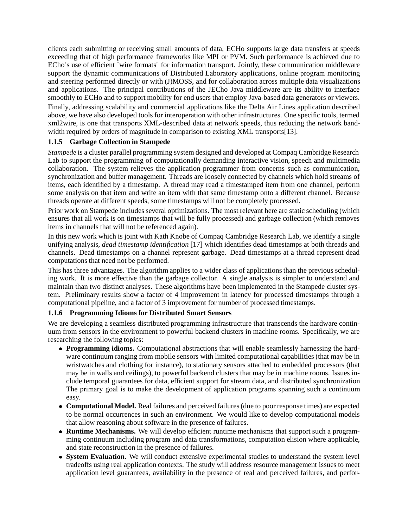clients each submitting or receiving small amounts of data, ECHo supports large data transfers at speeds exceeding that of high performance frameworks like MPI or PVM. Such performance is achieved due to ECho's use of efficient `wire formats' for information transport. Jointly, these communication middleware support the dynamic communications of Distributed Laboratory applications, online program monitoring and steering performed directly or with (J)MOSS, and for collaboration across multiple data visualizations and applications. The principal contributions of the JECho Java middleware are its ability to interface smoothly to ECHo and to support mobility for end users that employ Java-based data generators or viewers. Finally, addressing scalability and commercial applications like the Delta Air Lines application described above, we have also developed tools for interoperation with other infrastructures. One specific tools, termed xml2wire, is one that transports XML-described data at network speeds, thus reducing the network bandwidth required by orders of magnitude in comparison to existing XML transports[13].

#### **1.1.5 Garbage Collection in Stampede**

*Stampede* is a cluster parallel programming system designed and developed at Compaq Cambridge Research Lab to support the programming of computationally demanding interactive vision, speech and multimedia collaboration. The system relieves the application programmer from concerns such as communication, synchronization and buffer management. Threads are loosely connected by channels which hold streams of items, each identified by a timestamp. A thread may read a timestamped item from one channel, perform some analysis on that item and write an item with that same timestamp onto a different channel. Because threads operate at different speeds, some timestamps will not be completely processed.

Prior work on Stampede includes several optimizations. The most relevant here are static scheduling (which ensures that all work is on timestamps that will be fully processed) and garbage collection (which removes items in channels that will not be referenced again).

In this new work which is joint with Kath Knobe of Compaq Cambridge Research Lab, we identify a single unifying analysis, *dead timestamp identification* [17] which identifies dead timestamps at both threads and channels. Dead timestamps on a channel represent garbage. Dead timestamps at a thread represent dead computations that need not be performed.

This has three advantages. The algorithm applies to a wider class of applications than the previous scheduling work. It is more effective than the garbage collector. A single analysis is simpler to understand and maintain than two distinct analyses. These algorithms have been implemented in the Stampede cluster system. Preliminary results show a factor of 4 improvement in latency for processed timestamps through a computational pipeline, and a factor of 3 improvement for number of processed timestamps.

#### **1.1.6 Programming Idioms for Distributed Smart Sensors**

We are developing a seamless distributed programming infrastructure that transcends the hardware continuum from sensors in the environment to powerful backend clusters in machine rooms. Specifically, we are researching the following topics:

- **Programming idioms.** Computational abstractions that will enable seamlessly harnessing the hardware continuum ranging from mobile sensors with limited computational capabilities (that may be in wristwatches and clothing for instance), to stationary sensors attached to embedded processors (that may be in walls and ceilings), to powerful backend clusters that may be in machine rooms. Issues include temporal guarantees for data, efficient support for stream data, and distributed synchronization The primary goal is to make the development of application programs spanning such a continuum easy.
- **Computational Model.** Real failures and perceived failures (due to poor response times) are expected to be normal occurrences in such an environment. We would like to develop computational models that allow reasoning about software in the presence of failures.
- **Runtime Mechanisms.** We will develop efficient runtime mechanisms that support such a programming continuum including program and data transformations, computation elision where applicable, and state reconstruction in the presence of failures.
- **System Evaluation.** We will conduct extensive experimental studies to understand the system level tradeoffs using real application contexts. The study will address resource management issues to meet application level guarantees, availability in the presence of real and perceived failures, and perfor-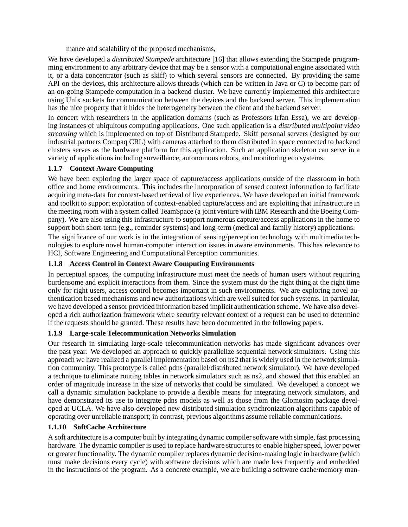mance and scalability of the proposed mechanisms,

We have developed a *distributed Stampede* architecture [16] that allows extending the Stampede programming environment to any arbitrary device that may be a sensor with a computational engine associated with it, or a data concentrator (such as skiff) to which several sensors are connected. By providing the same API on the devices, this architecture allows threads (which can be written in Java or C) to become part of an on-going Stampede computation in a backend cluster. We have currently implemented this architecture using Unix sockets for communication between the devices and the backend server. This implementation has the nice property that it hides the heterogeneity between the client and the backend server.

In concert with researchers in the application domains (such as Professors Irfan Essa), we are developing instances of ubiquitous computing applications. One such application is a *distributed multipoint video streaming* which is implemented on top of Distributed Stampede. Skiff personal servers (designed by our industrial partners Compaq CRL) with cameras attached to them distributed in space connected to backend clusters serves as the hardware platform for this application. Such an application skeleton can serve in a variety of applications including surveillance, autonomous robots, and monitoring eco systems.

#### **1.1.7 Context Aware Computing**

We have been exploring the larger space of capture/access applications outside of the classroom in both office and home environments. This includes the incorporation of sensed context information to facilitate acquiring meta-data for context-based retrieval of live experiences. We have developed an initial framework and toolkit to support exploration of context-enabled capture/access and are exploiting that infrastructure in the meeting room with a system called TeamSpace (a joint venture with IBM Research and the Boeing Company). We are also using this infrastructure to support numerous capture/access applications in the home to support both short-term (e.g., reminder systems) and long-term (medical and family history) applications.

The significance of our work is in the integration of sensing/perception technology with multimedia technologies to explore novel human-computer interaction issues in aware environments. This has relevance to HCI, Software Engineering and Computational Perception communities.

#### **1.1.8 Access Control in Context Aware Computing Environments**

In perceptual spaces, the computing infrastructure must meet the needs of human users without requiring burdensome and explicit interactions from them. Since the system must do the right thing at the right time only for right users, access control becomes important in such environments. We are exploring novel authentication based mechanisms and new authorizations which are well suited for such systems. In particular, we have developed a sensor provided information based implicit authentication scheme. We have also developed a rich authorization framework where security relevant context of a request can be used to determine if the requests should be granted. These results have been documented in the following papers.

#### **1.1.9 Large-scale Telecommunication Networks Simulation**

Our research in simulating large-scale telecommunication networks has made significant advances over the past year. We developed an approach to quickly parallelize sequential network simulators. Using this approach we have realized a parallel implementation based on ns2 that is widely used in the network simulation community. This prototype is called pdns (parallel/distributed network simulator). We have developed a technique to eliminate routing tables in network simulators such as ns2, and showed that this enabled an order of magnitude increase in the size of networks that could be simulated. We developed a concept we call a dynamic simulation backplane to provide a flexible means for integrating network simulators, and have demonstrated its use to integrate pdns models as well as those from the Glomosim package developed at UCLA. We have also developed new distributed simulation synchronization algorithms capable of operating over unreliable transport; in contrast, previous algorithms assume reliable communications.

#### **1.1.10 SoftCache Architecture**

A soft architecture is a computer built by integrating dynamic compiler software with simple, fast processing hardware. The dynamic compiler is used to replace hardware structures to enable higher speed, lower power or greater functionality. The dynamic compiler replaces dynamic decision-making logic in hardware (which must make decisions every cycle) with software decisions which are made less frequently and embedded in the instructions of the program. As a concrete example, we are building a software cache/memory man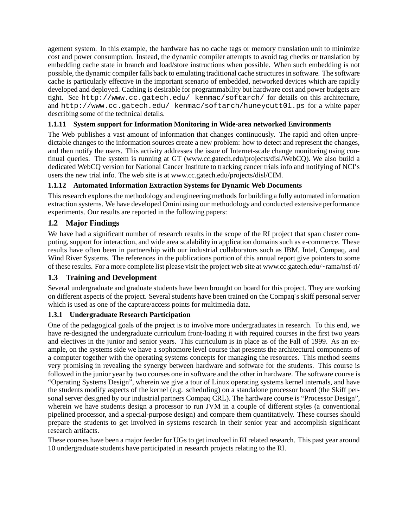agement system. In this example, the hardware has no cache tags or memory translation unit to minimize cost and power consumption. Instead, the dynamic compiler attempts to avoid tag checks or translation by embedding cache state in branch and load/store instructions when possible. When such embedding is not possible, the dynamic compiler falls back to emulating traditional cache structures in software. The software cache is particularly effective in the important scenario of embedded, networked devices which are rapidly developed and deployed. Caching is desirable for programmability but hardware cost and power budgets are tight. See http://www.cc.gatech.edu/ kenmac/softarch/ for details on this architecture, and http://www.cc.gatech.edu/ kenmac/softarch/huneycutt01.ps for a white paper describing some of the technical details.

### **1.1.11 System support for Information Monitoring in Wide-area networked Environments**

The Web publishes a vast amount of information that changes continuously. The rapid and often unpredictable changes to the information sources create a new problem: how to detect and represent the changes, and then notify the users. This activity addresses the issue of Internet-scale change monitoring using continual queries. The system is running at GT (www.cc.gatech.edu/projects/disl/WebCQ). We also build a dedicated WebCQ version for National Cancer Institute to tracking cancer trials info and notifying of NCI's users the new trial info. The web site is at www.cc.gatech.edu/projects/disl/CIM.

#### **1.1.12 Automated Information Extraction Systems for Dynamic Web Documents**

This research explores the methodology and engineering methods for building a fully automated information extraction systems. We have developed Omini using our methodology and conducted extensive performance experiments. Our results are reported in the following papers:

## **1.2 Major Findings**

We have had a significant number of research results in the scope of the RI project that span cluster computing, support for interaction, and wide area scalability in application domains such as e-commerce. These results have often been in partnership with our industrial collaborators such as IBM, Intel, Compaq, and Wind River Systems. The references in the publications portion of this annual report give pointers to some of these results. For a more complete list please visit the project web site at www.cc.gatech.edu/~rama/nsf-ri/

#### **1.3 Training and Development**

Several undergraduate and graduate students have been brought on board for this project. They are working on different aspects of the project. Several students have been trained on the Compaq's skiff personal server which is used as one of the capture/access points for multimedia data.

#### **1.3.1 Undergraduate Research Participation**

One of the pedagogical goals of the project is to involve more undergraduates in research. To this end, we have re-designed the undergraduate curriculum front-loading it with required courses in the first two years and electives in the junior and senior years. This curriculum is in place as of the Fall of 1999. As an example, on the systems side we have a sophomore level course that presents the architectural components of a computer together with the operating systems concepts for managing the resources. This method seems very promising in revealing the synergy between hardware and software for the students. This course is followed in the junior year by two courses one in software and the other in hardware. The software course is "Operating Systems Design", wherein we give a tour of Linux operating systems kernel internals, and have the students modify aspects of the kernel (e.g. scheduling) on a standalone processor board (the Skiff personal server designed by our industrial partners Compaq CRL). The hardware course is "Processor Design", wherein we have students design a processor to run JVM in a couple of different styles (a conventional pipelined processor, and a special-purpose design) and compare them quantitatively. These courses should prepare the students to get involved in systems research in their senior year and accomplish significant research artifacts.

These courses have been a major feeder for UGs to get involved in RI related research. This past year around 10 undergraduate students have participated in research projects relating to the RI.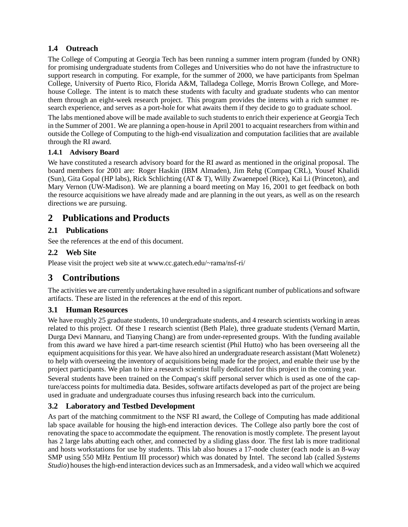## **1.4 Outreach**

The College of Computing at Georgia Tech has been running a summer intern program (funded by ONR) for promising undergraduate students from Colleges and Universities who do not have the infrastructure to support research in computing. For example, for the summer of 2000, we have participants from Spelman College, University of Puerto Rico, Florida A&M, Talladega College, Morris Brown College, and Morehouse College. The intent is to match these students with faculty and graduate students who can mentor them through an eight-week research project. This program provides the interns with a rich summer research experience, and serves as a port-hole for what awaits them if they decide to go to graduate school.

The labs mentioned above will be made available to such students to enrich their experience at Georgia Tech in the Summer of 2001. We are planning a open-house in April 2001 to acquaint researchers from within and outside the College of Computing to the high-end visualization and computation facilities that are available through the RI award.

#### **1.4.1 Advisory Board**

We have constituted a research advisory board for the RI award as mentioned in the original proposal. The board members for 2001 are: Roger Haskin (IBM Almaden), Jim Rehg (Compaq CRL), Yousef Khalidi (Sun), Gita Gopal (HP labs), Rick Schlichting (AT & T), Willy Zwaenepoel (Rice), Kai Li (Princeton), and Mary Vernon (UW-Madison). We are planning a board meeting on May 16, 2001 to get feedback on both the resource acquisitions we have already made and are planning in the out years, as well as on the research directions we are pursuing.

## **2 Publications and Products**

## **2.1 Publications**

See the references at the end of this document.

## **2.2 Web Site**

Please visit the project web site at www.cc.gatech.edu/~rama/nsf-ri/

# **3 Contributions**

The activities we are currently undertaking have resulted in a significant number of publications and software artifacts. These are listed in the references at the end of this report.

## **3.1 Human Resources**

We have roughly 25 graduate students, 10 undergraduate students, and 4 research scientists working in areas related to this project. Of these 1 research scientist (Beth Plale), three graduate students (Vernard Martin, Durga Devi Mannaru, and Tianying Chang) are from under-represented groups. With the funding available from this award we have hired a part-time research scientist (Phil Hutto) who has been overseeing all the equipment acquisitions for this year. We have also hired an undergraduate research assistant (Matt Wolenetz) to help with overseeing the inventory of acquisitions being made for the project, and enable their use by the project participants. We plan to hire a research scientist fully dedicated for this project in the coming year.

Several students have been trained on the Compaq's skiff personal server which is used as one of the capture/access points for multimedia data. Besides, software artifacts developed as part of the project are being used in graduate and undergraduate courses thus infusing research back into the curriculum.

## **3.2 Laboratory and Testbed Development**

As part of the matching commitment to the NSF RI award, the College of Computing has made additional lab space available for housing the high-end interaction devices. The College also partly bore the cost of renovating the space to accommodate the equipment. The renovation is mostly complete. The present layout has 2 large labs abutting each other, and connected by a sliding glass door. The first lab is more traditional and hosts workstations for use by students. This lab also houses a 17-node cluster (each node is an 8-way SMP using 550 MHz Pentium III processor) which was donated by Intel. The second lab (called *Systems Studio*) houses the high-end interaction devices such as an Immersadesk, and a video wall which we acquired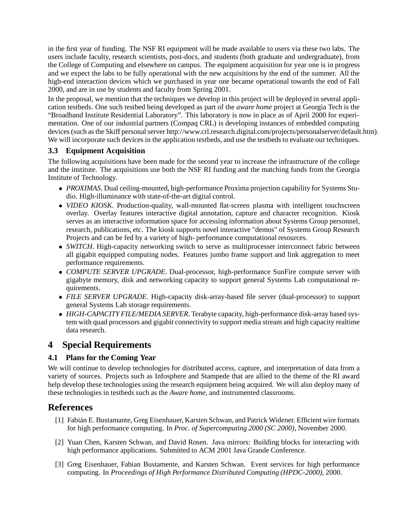in the first year of funding. The NSF RI equipment will be made available to users via these two labs. The users include faculty, research scientists, post-docs, and students (both graduate and undergraduate), from the College of Computing and elsewhere on campus. The equipment acquisition for year one is in progress and we expect the labs to be fully operational with the new acquisitions by the end of the summer. All the high-end interaction devices which we purchased in year one became operational towards the end of Fall 2000, and are in use by students and faculty from Spring 2001.

In the proposal, we mention that the techniques we develop in this project will be deployed in several application testbeds. One such testbed being developed as part of the *aware home* project at Georgia Tech is the "Broadband Institute Residential Laboratory". This laboratory is now in place as of April 2000 for experimentation. One of our industrial partners (Compaq CRL) is developing instances of embedded computing devices (such as the Skiff personal server http://www.crl.research.digital.com/projects/personalserver/default.htm). We will incorporate such devices in the application testbeds, and use the testbeds to evaluate our techniques.

#### **3.3 Equipment Acquisition**

The following acquisitions have been made for the second year to increase the infrastructure of the college and the institute. The acquisitions use both the NSF RI funding and the matching funds from the Georgia Institute of Technology.

- *PROXIMAS*. Dual ceiling-mounted, high-performance Proxima projection capability for Systems Studio. High-illuminance with state-of-the-art digital control.
- *VIDEO KIOSK*. Production-quality, wall-mounted flat-screen plasma with intelligent touchscreen overlay. Overlay features interactive digital annotation, capture and character recognition. Kiosk serves as an interactive information space for accessing information about Systems Group personnel, research, publications, etc. The kiosk supports novel interactive "demos" of Systems Group Research Projects and can be fed by a variety of high- performance computational resources.
- *SWITCH*. High-capacity networking switch to serve as multiprocesser interconnect fabric between all gigabit equipped computing nodes. Features jumbo frame support and link aggregation to meet performance requirements.
- *COMPUTE SERVER UPGRADE*. Dual-processor, high-performance SunFire compute server with gigabyte memory, disk and networking capacity to support general Systems Lab computational requirements.
- *FILE SERVER UPGRADE*. High-capacity disk-array-based file server (dual-processor) to support general Systems Lab storage requirements.
- *HIGH-CAPACITY FILE/MEDIA SERVER*. Terabyte capacity, high-performance disk-array based system with quad processors and gigabit connectivity to support media stream and high capacity realtime data research.

# **4 Special Requirements**

## **4.1 Plans for the Coming Year**

We will continue to develop technologies for distributed access, capture, and interpretation of data from a variety of sources. Projects such as Infosphere and Stampede that are allied to the theme of the RI award help develop these technologies using the research equipment being acquired. We will also deploy many of these technologies in testbeds such as the *Aware home*, and instrumented classrooms.

## **References**

- [1] Fabián E. Bustamante, Greg Eisenhauer, Karsten Schwan, and Patrick Widener. Efficient wire formats for high performance computing. In *Proc. of Supercomputing 2000 (SC 2000)*, November 2000.
- [2] Yuan Chen, Karsten Schwan, and David Rosen. Java mirrors: Building blocks for interacting with high performance applications. Submitted to ACM 2001 Java Grande Conference.
- [3] Greg Eisenhauer, Fabian Bustamente, and Karsten Schwan. Event services for high performance computing. In *Proceedings of High Performance Distributed Computing (HPDC-2000)*, 2000.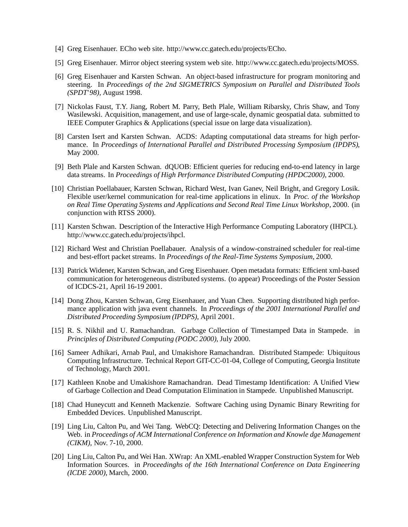- [4] Greg Eisenhauer. ECho web site. http://www.cc.gatech.edu/projects/ECho.
- [5] Greg Eisenhauer. Mirror object steering system web site. http://www.cc.gatech.edu/projects/MOSS.
- [6] Greg Eisenhauer and Karsten Schwan. An object-based infrastructure for program monitoring and steering. In *Proceedings of the 2nd SIGMETRICS Symposium on Parallel and Distributed Tools (SPDT'98)*, August 1998.
- [7] Nickolas Faust, T.Y. Jiang, Robert M. Parry, Beth Plale, William Ribarsky, Chris Shaw, and Tony Wasilewski. Acquisition, management, and use of large-scale, dynamic geospatial data. submitted to IEEE Computer Graphics & Applications (special issue on large data visualization).
- [8] Carsten Isert and Karsten Schwan. ACDS: Adapting computational data streams for high performance. In *Proceedings of International Parallel and Distributed Processing Symposium (IPDPS)*, May 2000.
- [9] Beth Plale and Karsten Schwan. dQUOB: Efficient queries for reducing end-to-end latency in large data streams. In *Proceedings of High Performance Distributed Computing (HPDC2000)*, 2000.
- [10] Christian Poellabauer, Karsten Schwan, Richard West, Ivan Ganev, Neil Bright, and Gregory Losik. Flexible user/kernel communication for real-time applications in elinux. In *Proc. of the Workshop on Real Time Operating Systems and Applications and Second Real Time Linux Workshop*, 2000. (in conjunction with RTSS 2000).
- [11] Karsten Schwan. Description of the Interactive High Performance Computing Laboratory (IHPCL). http://www.cc.gatech.edu/projects/ihpcl.
- [12] Richard West and Christian Poellabauer. Analysis of a window-constrained scheduler for real-time and best-effort packet streams. In *Proceedings of the Real-Time Systems Symposium*, 2000.
- [13] Patrick Widener, Karsten Schwan, and Greg Eisenhauer. Open metadata formats: Efficient xml-based communication for heterogeneous distributed systems. (to appear) Proceedings of the Poster Session of ICDCS-21, April 16-19 2001.
- [14] Dong Zhou, Karsten Schwan, Greg Eisenhauer, and Yuan Chen. Supporting distributed high performance application with java event channels. In *Proceedings of the 2001 International Parallel and Distributed Proceeding Symposium (IPDPS)*, April 2001.
- [15] R. S. Nikhil and U. Ramachandran. Garbage Collection of Timestamped Data in Stampede. in *Principles of Distributed Computing (PODC 2000)*, July 2000.
- [16] Sameer Adhikari, Arnab Paul, and Umakishore Ramachandran. Distributed Stampede: Ubiquitous Computing Infrastructure. Technical Report GIT-CC-01-04, College of Computing, Georgia Institute of Technology, March 2001.
- [17] Kathleen Knobe and Umakishore Ramachandran. Dead Timestamp Identification: A Unified View of Garbage Collection and Dead Computation Elimination in Stampede. Unpublished Manuscript.
- [18] Chad Huneycutt and Kenneth Mackenzie. Software Caching using Dynamic Binary Rewriting for Embedded Devices. Unpublished Manuscript.
- [19] Ling Liu, Calton Pu, and Wei Tang. WebCQ: Detecting and Delivering Information Changes on the Web. in *Proceedings of ACM International Conference on Information and Knowle dge Management (CIKM)*, Nov. 7-10, 2000.
- [20] Ling Liu, Calton Pu, and Wei Han. XWrap: An XML-enabled Wrapper Construction System for Web Information Sources. in *Proceedinghs of the 16th International Conference on Data Engineering (ICDE 2000)*, March, 2000.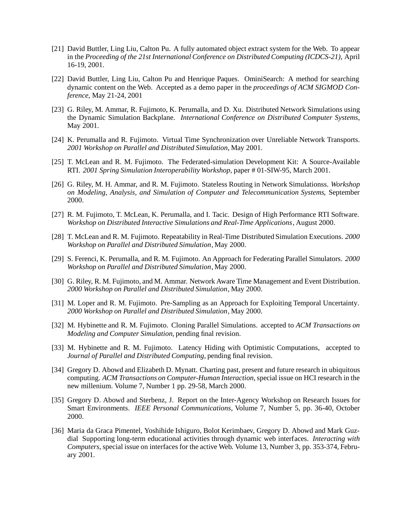- [21] David Buttler, Ling Liu, Calton Pu. A fully automated object extract system for the Web. To appear in the *Proceeding of the 21st International Conference on Distributed Computing (ICDCS-21)*, April 16-19, 2001.
- [22] David Buttler, Ling Liu, Calton Pu and Henrique Paques. OminiSearch: A method for searching dynamic content on the Web. Accepted as a demo paper in the *proceedings of ACM SIGMOD Conference*, May 21-24, 2001
- [23] G. Riley, M. Ammar, R. Fujimoto, K. Perumalla, and D. Xu. Distributed Network Simulations using the Dynamic Simulation Backplane. *International Conference on Distributed Computer Systems*, May 2001.
- [24] K. Perumalla and R. Fujimoto. Virtual Time Synchronization over Unreliable Network Transports. *2001 Workshop on Parallel and Distributed Simulation*, May 2001.
- [25] T. McLean and R. M. Fujimoto. The Federated-simulation Development Kit: A Source-Available RTI. *2001 Spring Simulation Interoperability Workshop*, paper # 01-SIW-95, March 2001.
- [26] G. Riley, M. H. Ammar, and R. M. Fujimoto. Stateless Routing in Network Simulationss. *Workshop on Modeling, Analysis, and Simulation of Computer and Telecommunication Systems*, September 2000.
- [27] R. M. Fujimoto, T. McLean, K. Perumalla, and I. Tacic. Design of High Performance RTI Software. *Workshop on Distributed Interactive Simulations and Real-Time Applications*, August 2000.
- [28] T. McLean and R. M. Fujimoto. Repeatability in Real-Time Distributed Simulation Executions. *2000 Workshop on Parallel and Distributed Simulation*, May 2000.
- [29] S. Ferenci, K. Perumalla, and R. M. Fujimoto. An Approach for Federating Parallel Simulators. *2000 Workshop on Parallel and Distributed Simulation*, May 2000.
- [30] G. Riley, R. M. Fujimoto, and M. Ammar. Network Aware Time Management and Event Distribution. *2000 Workshop on Parallel and Distributed Simulation*, May 2000.
- [31] M. Loper and R. M. Fujimoto. Pre-Sampling as an Approach for Exploiting Temporal Uncertainty. *2000 Workshop on Parallel and Distributed Simulation*, May 2000.
- [32] M. Hybinette and R. M. Fujimoto. Cloning Parallel Simulations. accepted to *ACM Transactions on Modeling and Computer Simulation*, pending final revision.
- [33] M. Hybinette and R. M. Fujimoto. Latency Hiding with Optimistic Computations, accepted to *Journal of Parallel and Distributed Computing*, pending final revision.
- [34] Gregory D. Abowd and Elizabeth D. Mynatt. Charting past, present and future research in ubiquitous computing. *ACM Transactions on Computer-Human Interaction*, special issue on HCI research in the new millenium. Volume 7, Number 1 pp. 29-58, March 2000.
- [35] Gregory D. Abowd and Sterbenz, J. Report on the Inter-Agency Workshop on Research Issues for Smart Environments. *IEEE Personal Communications*, Volume 7, Number 5, pp. 36-40, October 2000.
- [36] Maria da Graca Pimentel, Yoshihide Ishiguro, Bolot Kerimbaev, Gregory D. Abowd and Mark Guzdial Supporting long-term educational activities through dynamic web interfaces. *Interacting with Computers*, special issue on interfaces for the active Web. Volume 13, Number 3, pp. 353-374, February 2001.